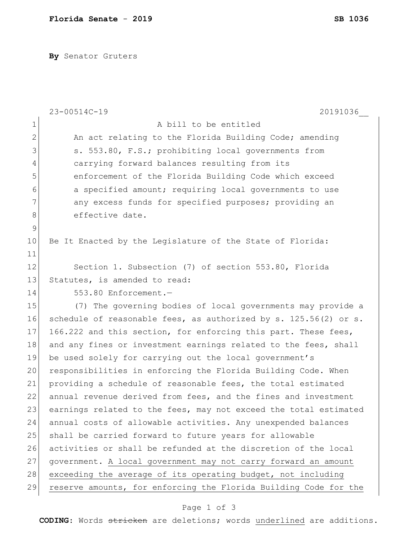**By** Senator Gruters

|                | 23-00514C-19<br>20191036                                         |
|----------------|------------------------------------------------------------------|
| $\mathbf 1$    | A bill to be entitled                                            |
| $\overline{2}$ | An act relating to the Florida Building Code; amending           |
| 3              | s. 553.80, F.S.; prohibiting local governments from              |
| 4              | carrying forward balances resulting from its                     |
| 5              | enforcement of the Florida Building Code which exceed            |
| 6              | a specified amount; requiring local governments to use           |
| 7              | any excess funds for specified purposes; providing an            |
| $\,8\,$        | effective date.                                                  |
| $\mathsf 9$    |                                                                  |
| 10             | Be It Enacted by the Legislature of the State of Florida:        |
| 11             |                                                                  |
| 12             | Section 1. Subsection (7) of section 553.80, Florida             |
| 13             | Statutes, is amended to read:                                    |
| 14             | 553.80 Enforcement.-                                             |
| 15             | (7) The governing bodies of local governments may provide a      |
| 16             | schedule of reasonable fees, as authorized by s. 125.56(2) or s. |
| 17             | 166.222 and this section, for enforcing this part. These fees,   |
| 18             | and any fines or investment earnings related to the fees, shall  |
| 19             | be used solely for carrying out the local government's           |
| 20             | responsibilities in enforcing the Florida Building Code. When    |
| 21             | providing a schedule of reasonable fees, the total estimated     |
| 22             | annual revenue derived from fees, and the fines and investment   |
| 23             | earnings related to the fees, may not exceed the total estimated |
| 24             | annual costs of allowable activities. Any unexpended balances    |
| 25             | shall be carried forward to future years for allowable           |
| 26             | activities or shall be refunded at the discretion of the local   |
| 27             | government. A local government may not carry forward an amount   |
| 28             | exceeding the average of its operating budget, not including     |
| 29             | reserve amounts, for enforcing the Florida Building Code for the |

## Page 1 of 3

**CODING**: Words stricken are deletions; words underlined are additions.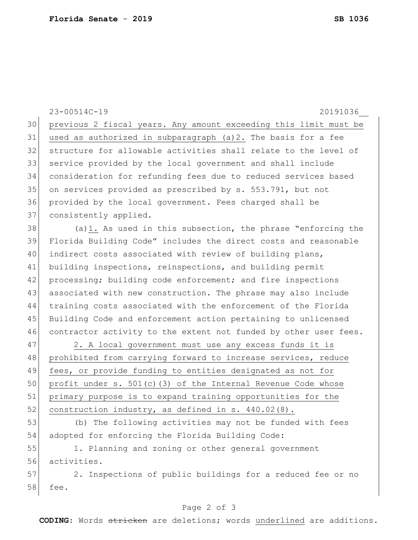23-00514C-19 20191036\_\_ 30 previous 2 fiscal years. Any amount exceeding this limit must be 31 used as authorized in subparagraph (a)2. The basis for a fee 32 structure for allowable activities shall relate to the level of 33 service provided by the local government and shall include 34 consideration for refunding fees due to reduced services based 35 on services provided as prescribed by s. 553.791, but not 36 provided by the local government. Fees charged shall be 37 consistently applied.  $38$  (a)1. As used in this subsection, the phrase "enforcing the 39 Florida Building Code" includes the direct costs and reasonable 40 indirect costs associated with review of building plans, 41 building inspections, reinspections, and building permit 42 processing; building code enforcement; and fire inspections 43 associated with new construction. The phrase may also include 44 training costs associated with the enforcement of the Florida 45 Building Code and enforcement action pertaining to unlicensed 46 contractor activity to the extent not funded by other user fees. 47 2. A local government must use any excess funds it is 48 prohibited from carrying forward to increase services, reduce 49 fees, or provide funding to entities designated as not for 50 profit under s. 501(c)(3) of the Internal Revenue Code whose 51 primary purpose is to expand training opportunities for the 52 construction industry, as defined in s.  $440.02(8)$ . 53 (b) The following activities may not be funded with fees 54 adopted for enforcing the Florida Building Code: 55 1. Planning and zoning or other general government 56 activities. 57 2. Inspections of public buildings for a reduced fee or no 58 fee.

## Page 2 of 3

**CODING**: Words stricken are deletions; words underlined are additions.